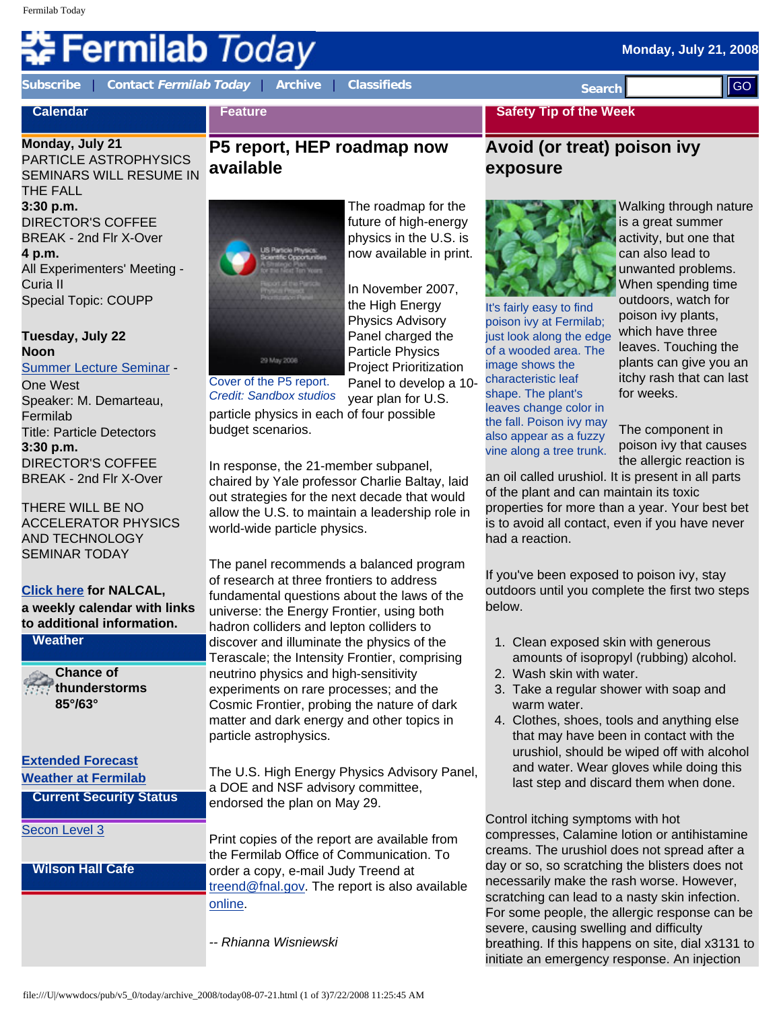# **Fermilab** *Today*

**[Subscribe](http://www.fnal.gov/pub/today/subscription.html)** | **Contact [Fermilab Today](mailto:today@fnal.gov)** | **[Archive](http://www.fnal.gov/pub/today/archive.html)** | **[Classifieds](http://www.fnal.gov/pub/today/classifieds.html) Search** 

# **Tuesday, July 22 Noon**

# [Summer Lecture Seminar](http://sist.fnal.gov/lectures.html) -

# **[Click here](http://www.fnal.gov/directorate/nalcal/nalcal07_21_08.html) for NALCAL,**

| <b>Subscribe</b>                                                                                                                                                                                                                                                                                                                                                                                                                                                                                                                                                                                        | <b>Contact Fermilab Today</b>                                                                                                                                                                                  |                                                                                   | <b>Archive</b>                                                                                                                                                     | <b>Classifieds</b>                                                                                                                                                                                                                                                                                                                                                                                                                                                                                                                                                                                                                                                                                                                                                                                                                                                                                                                                                                                                                                                                                                                                                                                                                                                                       | <b>Search</b>                                                                                                                                                                                                                                                                                                                                                                                                                                                                                                                                                                                                                                                                                                                                                                                                                                                                                                                                                                                                                          |                                                                                                                                                                                                                                                                                                                                                                                                                                                                                                                                                                                                     | II GO |
|---------------------------------------------------------------------------------------------------------------------------------------------------------------------------------------------------------------------------------------------------------------------------------------------------------------------------------------------------------------------------------------------------------------------------------------------------------------------------------------------------------------------------------------------------------------------------------------------------------|----------------------------------------------------------------------------------------------------------------------------------------------------------------------------------------------------------------|-----------------------------------------------------------------------------------|--------------------------------------------------------------------------------------------------------------------------------------------------------------------|------------------------------------------------------------------------------------------------------------------------------------------------------------------------------------------------------------------------------------------------------------------------------------------------------------------------------------------------------------------------------------------------------------------------------------------------------------------------------------------------------------------------------------------------------------------------------------------------------------------------------------------------------------------------------------------------------------------------------------------------------------------------------------------------------------------------------------------------------------------------------------------------------------------------------------------------------------------------------------------------------------------------------------------------------------------------------------------------------------------------------------------------------------------------------------------------------------------------------------------------------------------------------------------|----------------------------------------------------------------------------------------------------------------------------------------------------------------------------------------------------------------------------------------------------------------------------------------------------------------------------------------------------------------------------------------------------------------------------------------------------------------------------------------------------------------------------------------------------------------------------------------------------------------------------------------------------------------------------------------------------------------------------------------------------------------------------------------------------------------------------------------------------------------------------------------------------------------------------------------------------------------------------------------------------------------------------------------|-----------------------------------------------------------------------------------------------------------------------------------------------------------------------------------------------------------------------------------------------------------------------------------------------------------------------------------------------------------------------------------------------------------------------------------------------------------------------------------------------------------------------------------------------------------------------------------------------------|-------|
| <b>Calendar</b>                                                                                                                                                                                                                                                                                                                                                                                                                                                                                                                                                                                         |                                                                                                                                                                                                                | <b>Feature</b>                                                                    |                                                                                                                                                                    |                                                                                                                                                                                                                                                                                                                                                                                                                                                                                                                                                                                                                                                                                                                                                                                                                                                                                                                                                                                                                                                                                                                                                                                                                                                                                          | <b>Safety Tip of the Week</b>                                                                                                                                                                                                                                                                                                                                                                                                                                                                                                                                                                                                                                                                                                                                                                                                                                                                                                                                                                                                          |                                                                                                                                                                                                                                                                                                                                                                                                                                                                                                                                                                                                     |       |
| Monday, July 21<br>PARTICLE ASTROPHYSICS<br><b>SEMINARS WILL RESUME IN</b>                                                                                                                                                                                                                                                                                                                                                                                                                                                                                                                              |                                                                                                                                                                                                                | P5 report, HEP roadmap now<br>available                                           |                                                                                                                                                                    |                                                                                                                                                                                                                                                                                                                                                                                                                                                                                                                                                                                                                                                                                                                                                                                                                                                                                                                                                                                                                                                                                                                                                                                                                                                                                          | Avoid (or treat) poison ivy<br>exposure                                                                                                                                                                                                                                                                                                                                                                                                                                                                                                                                                                                                                                                                                                                                                                                                                                                                                                                                                                                                |                                                                                                                                                                                                                                                                                                                                                                                                                                                                                                                                                                                                     |       |
| THE FALL<br>3:30 p.m.<br><b>DIRECTOR'S COFFEE</b><br><b>BREAK - 2nd Flr X-Over</b><br>4 p.m.<br>Curia II<br><b>Special Topic: COUPP</b><br>Tuesday, July 22<br><b>Noon</b><br>One West<br>Speaker: M. Demarteau,<br>Fermilab<br><b>Title: Particle Detectors</b><br>3:30 p.m.<br><b>DIRECTOR'S COFFEE</b><br><b>BREAK - 2nd Flr X-Over</b><br>THERE WILL BE NO<br><b>AND TECHNOLOGY</b><br><b>SEMINAR TODAY</b><br><b>Click here for NALCAL,</b><br><b>Weather</b><br><b>Chance of</b><br>85°/63°<br><b>Extended Forecast</b><br><b>Weather at Fermilab</b><br>Secon Level 3<br><b>Wilson Hall Cafe</b> | All Experimenters' Meeting -<br><b>Summer Lecture Seminar -</b><br><b>ACCELERATOR PHYSICS</b><br>a weekly calendar with links<br>to additional information.<br>thunderstorms<br><b>Current Security Status</b> | budget scenarios.                                                                 | 29 May 2008<br>Cover of the P5 report.<br><b>Credit: Sandbox studios</b><br>world-wide particle physics.<br>particle astrophysics.<br>endorsed the plan on May 29. | The roadmap for the<br>future of high-energy<br>physics in the U.S. is<br>now available in print.<br>In November 2007,<br>the High Energy<br><b>Physics Advisory</b><br>Panel charged the<br><b>Particle Physics</b><br><b>Project Prioritization</b><br>Panel to develop a 10-<br>year plan for U.S.<br>particle physics in each of four possible<br>In response, the 21-member subpanel,<br>chaired by Yale professor Charlie Baltay, laid<br>out strategies for the next decade that would<br>allow the U.S. to maintain a leadership role in<br>The panel recommends a balanced program<br>of research at three frontiers to address<br>fundamental questions about the laws of the<br>universe: the Energy Frontier, using both<br>hadron colliders and lepton colliders to<br>discover and illuminate the physics of the<br>Terascale; the Intensity Frontier, comprising<br>neutrino physics and high-sensitivity<br>experiments on rare processes; and the<br>Cosmic Frontier, probing the nature of dark<br>matter and dark energy and other topics in<br>The U.S. High Energy Physics Advisory Panel,<br>a DOE and NSF advisory committee,<br>Print copies of the report are available from<br>the Fermilab Office of Communication. To<br>order a copy, e-mail Judy Treend at | It's fairly easy to find<br>poison ivy at Fermilab;<br>just look along the edge<br>of a wooded area. The<br>image shows the<br>characteristic leaf<br>shape. The plant's<br>leaves change color in<br>the fall. Poison ivy may<br>also appear as a fuzzy<br>vine along a tree trunk.<br>an oil called urushiol. It is present in all parts<br>of the plant and can maintain its toxic<br>properties for more than a year. Your best bet<br>is to avoid all contact, even if you have never<br>had a reaction.<br>If you've been exposed to poison ivy, stay<br>outdoors until you complete the first two steps<br>below.<br>1. Clean exposed skin with generous<br>2. Wash skin with water.<br>3. Take a regular shower with soap and<br>warm water.<br>4. Clothes, shoes, tools and anything else<br>Control itching symptoms with hot<br>compresses, Calamine lotion or antihistamine<br>creams. The urushiol does not spread after a<br>day or so, so scratching the blisters does not<br>necessarily make the rash worse. However, | Walking through nature<br>is a great summer<br>activity, but one that<br>can also lead to<br>unwanted problems.<br>When spending time<br>outdoors, watch for<br>poison ivy plants,<br>which have three<br>leaves. Touching the<br>plants can give you an<br>itchy rash that can last<br>for weeks.<br>The component in<br>poison ivy that causes<br>the allergic reaction is<br>amounts of isopropyl (rubbing) alcohol.<br>that may have been in contact with the<br>urushiol, should be wiped off with alcohol<br>and water. Wear gloves while doing this<br>last step and discard them when done. |       |
|                                                                                                                                                                                                                                                                                                                                                                                                                                                                                                                                                                                                         |                                                                                                                                                                                                                | treend@fnal.gov. The report is also available<br>online.<br>-- Rhianna Wisniewski |                                                                                                                                                                    |                                                                                                                                                                                                                                                                                                                                                                                                                                                                                                                                                                                                                                                                                                                                                                                                                                                                                                                                                                                                                                                                                                                                                                                                                                                                                          | scratching can lead to a nasty skin infection.<br>For some people, the allergic response can be<br>severe, causing swelling and difficulty<br>breathing. If this happens on site, dial x3131 to<br>initiate an emergency response. An injection                                                                                                                                                                                                                                                                                                                                                                                                                                                                                                                                                                                                                                                                                                                                                                                        |                                                                                                                                                                                                                                                                                                                                                                                                                                                                                                                                                                                                     |       |
|                                                                                                                                                                                                                                                                                                                                                                                                                                                                                                                                                                                                         | file:///U /wwwdocs/pub/v5_0/today/archive_2008/today08-07-21.html (1 of 3)7/22/2008 11:25:45 AM                                                                                                                |                                                                                   |                                                                                                                                                                    |                                                                                                                                                                                                                                                                                                                                                                                                                                                                                                                                                                                                                                                                                                                                                                                                                                                                                                                                                                                                                                                                                                                                                                                                                                                                                          |                                                                                                                                                                                                                                                                                                                                                                                                                                                                                                                                                                                                                                                                                                                                                                                                                                                                                                                                                                                                                                        |                                                                                                                                                                                                                                                                                                                                                                                                                                                                                                                                                                                                     |       |

# **P5 report, HEP roadmap now available**



# **exposure**



- 1. Clean exposed skin with generous amounts of isopropyl (rubbing) alcohol.
- 2. Wash skin with water.
- 3. Take a regular shower with soap and warm water.
- 4. Clothes, shoes, tools and anything else that may have been in contact with the urushiol, should be wiped off with alcohol and water. Wear gloves while doing this last step and discard them when done.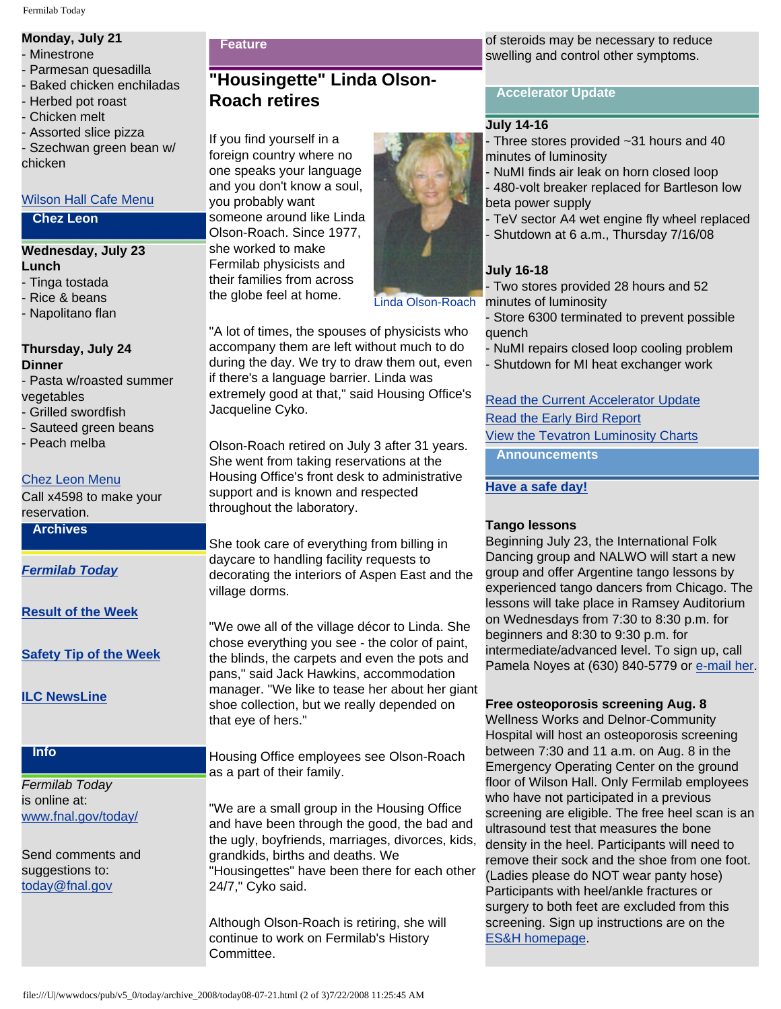# **Monday, July 21**

- Minestrone
- Parmesan quesadilla
- Baked chicken enchiladas
- Herbed pot roast
- Chicken melt
- Assorted slice pizza

Szechwan green bean w/ chicken

# [Wilson Hall Cafe Menu](http://bss.fnal.gov/cafe/index.html)

### **Chez Leon**

# **Wednesday, July 23 Lunch**

- Tinga tostada - Rice & beans
- Napolitano flan

## **Thursday, July 24 Dinner**

- Pasta w/roasted summer vegetables
- Grilled swordfish
- Sauteed green beans
- Peach melba

# [Chez Leon Menu](http://bss.fnal.gov/chezleon/index.html)

Call x4598 to make your reservation. **Archives**

*[Fermilab Today](http://www.fnal.gov/pub/today/archive.html)*

**[Result of the Week](http://www.fnal.gov/pub/today/resultoftheweek/index.html)**

**[Safety Tip of the Week](http://www.fnal.gov/pub/today/safety/)**

**[ILC NewsLine](http://www.linearcollider.org/newsline/)**

# **Info**

*Fermilab Today* is online at: [www.fnal.gov/today/](http://www.fnal.gov/today/)

Send comments and suggestions to: [today@fnal.gov](mailto:today@fnal.gov)

### **Feature**

# **"Housingette" Linda Olson-Roach retires**

If you find yourself in a foreign country where no one speaks your language and you don't know a soul, you probably want someone around like Linda Olson-Roach. Since 1977, she worked to make Fermilab physicists and their families from across the globe feel at home.



Linda Olson-Roach

"A lot of times, the spouses of physicists who accompany them are left without much to do during the day. We try to draw them out, even if there's a language barrier. Linda was extremely good at that," said Housing Office's Jacqueline Cyko.

Olson-Roach retired on July 3 after 31 years. She went from taking reservations at the Housing Office's front desk to administrative support and is known and respected throughout the laboratory.

She took care of everything from billing in daycare to handling facility requests to decorating the interiors of Aspen East and the village dorms.

"We owe all of the village décor to Linda. She chose everything you see - the color of paint, the blinds, the carpets and even the pots and pans," said Jack Hawkins, accommodation manager. "We like to tease her about her giant shoe collection, but we really depended on that eye of hers."

Housing Office employees see Olson-Roach as a part of their family.

"We are a small group in the Housing Office and have been through the good, the bad and the ugly, boyfriends, marriages, divorces, kids, grandkids, births and deaths. We "Housingettes" have been there for each other 24/7," Cyko said.

Although Olson-Roach is retiring, she will continue to work on Fermilab's History Committee.

of steroids may be necessary to reduce swelling and control other symptoms.

# **Accelerator Update**

# **July 14-16**

- Three stores provided ~31 hours and 40 minutes of luminosity

- NuMI finds air leak on horn closed loop - 480-volt breaker replaced for Bartleson low beta power supply

- TeV sector A4 wet engine fly wheel replaced
- Shutdown at 6 a.m., Thursday 7/16/08

# **July 16-18**

- Two stores provided 28 hours and 52 minutes of luminosity

- Store 6300 terminated to prevent possible quench

- NuMI repairs closed loop cooling problem

- Shutdown for MI heat exchanger work

# [Read the Current Accelerator Update](http://www.fnal.gov/pub/news08/update.html) [Read the Early Bird Report](http://www-bd.fnal.gov/earlybird/ebird.html) [View the Tevatron Luminosity Charts](http://www.fnal.gov/pub/now/tevlum.html) **Announcements**

# **[Have a safe day!](http://www.fnal.gov/pub/about/safety/profiles.html)**

# **Tango lessons**

Beginning July 23, the International Folk Dancing group and NALWO will start a new group and offer Argentine tango lessons by experienced tango dancers from Chicago. The lessons will take place in Ramsey Auditorium on Wednesdays from 7:30 to 8:30 p.m. for beginners and 8:30 to 9:30 p.m. for intermediate/advanced level. To sign up, call Pamela Noyes at (630) 840-5779 or [e-mail her](mailto:noyes@fnal.gov).

# **Free osteoporosis screening Aug. 8**

Wellness Works and Delnor-Community Hospital will host an osteoporosis screening between 7:30 and 11 a.m. on Aug. 8 in the Emergency Operating Center on the ground floor of Wilson Hall. Only Fermilab employees who have not participated in a previous screening are eligible. The free heel scan is an ultrasound test that measures the bone density in the heel. Participants will need to remove their sock and the shoe from one foot. (Ladies please do NOT wear panty hose) Participants with heel/ankle fractures or surgery to both feet are excluded from this screening. Sign up instructions are on the [ES&H homepage.](http://www-esh.fnal.gov/pls/default/esh_home_page.html)